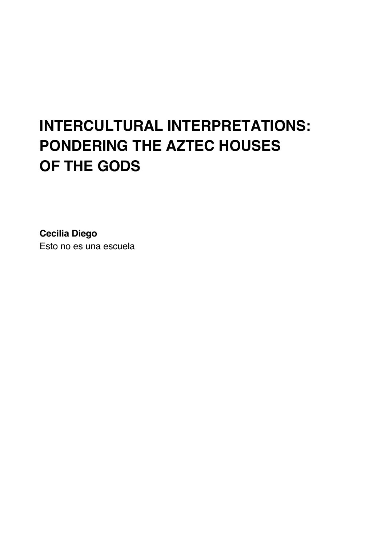# **INTERCULTURAL INTERPRETATIONS: PONDERING THE AZTEC HOUSES OF THE GODS**

**Cecilia Diego** Esto no es una escuela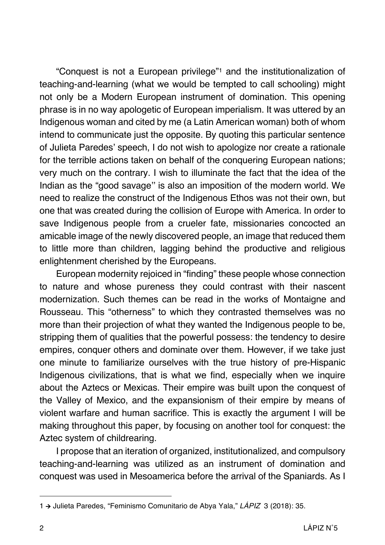"Conquest is not a European privilege"1 and the institutionalization of teaching-and-learning (what we would be tempted to call schooling) might not only be a Modern European instrument of domination. This opening phrase is in no way apologetic of European imperialism. It was uttered by an Indigenous woman and cited by me (a Latin American woman) both of whom intend to communicate just the opposite. By quoting this particular sentence of Julieta Paredes' speech, I do not wish to apologize nor create a rationale for the terrible actions taken on behalf of the conquering European nations; very much on the contrary. I wish to illuminate the fact that the idea of the Indian as the "good savage'' is also an imposition of the modern world. We need to realize the construct of the Indigenous Ethos was not their own, but one that was created during the collision of Europe with America. In order to save Indigenous people from a crueler fate, missionaries concocted an amicable image of the newly discovered people, an image that reduced them to little more than children, lagging behind the productive and religious enlightenment cherished by the Europeans.

European modernity rejoiced in "finding" these people whose connection to nature and whose pureness they could contrast with their nascent modernization. Such themes can be read in the works of Montaigne and Rousseau. This "otherness" to which they contrasted themselves was no more than their projection of what they wanted the Indigenous people to be, stripping them of qualities that the powerful possess: the tendency to desire empires, conquer others and dominate over them. However, if we take just one minute to familiarize ourselves with the true history of pre-Hispanic Indigenous civilizations, that is what we find, especially when we inquire about the Aztecs or Mexicas. Their empire was built upon the conquest of the Valley of Mexico, and the expansionism of their empire by means of violent warfare and human sacrifice. This is exactly the argument I will be making throughout this paper, by focusing on another tool for conquest: the Aztec system of childrearing.

I propose that an iteration of organized, institutionalized, and compulsory teaching-and-learning was utilized as an instrument of domination and conquest was used in Mesoamerica before the arrival of the Spaniards. As I

<sup>1</sup> à Julieta Paredes, "Feminismo Comunitario de Abya Yala," *LÁPIZ* 3 (2018): 35.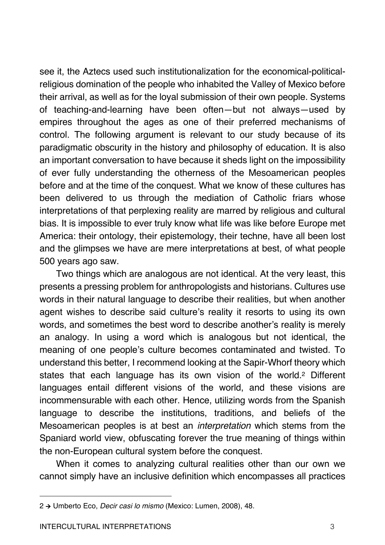see it, the Aztecs used such institutionalization for the economical-politicalreligious domination of the people who inhabited the Valley of Mexico before their arrival, as well as for the loyal submission of their own people. Systems of teaching-and-learning have been often—but not always—used by empires throughout the ages as one of their preferred mechanisms of control. The following argument is relevant to our study because of its paradigmatic obscurity in the history and philosophy of education. It is also an important conversation to have because it sheds light on the impossibility of ever fully understanding the otherness of the Mesoamerican peoples before and at the time of the conquest. What we know of these cultures has been delivered to us through the mediation of Catholic friars whose interpretations of that perplexing reality are marred by religious and cultural bias. It is impossible to ever truly know what life was like before Europe met America: their ontology, their epistemology, their techne, have all been lost and the glimpses we have are mere interpretations at best, of what people 500 years ago saw.

Two things which are analogous are not identical. At the very least, this presents a pressing problem for anthropologists and historians. Cultures use words in their natural language to describe their realities, but when another agent wishes to describe said culture's reality it resorts to using its own words, and sometimes the best word to describe another's reality is merely an analogy. In using a word which is analogous but not identical, the meaning of one people's culture becomes contaminated and twisted. To understand this better, I recommend looking at the Sapir-Whorf theory which states that each language has its own vision of the world.2 Different languages entail different visions of the world, and these visions are incommensurable with each other. Hence, utilizing words from the Spanish language to describe the institutions, traditions, and beliefs of the Mesoamerican peoples is at best an *interpretation* which stems from the Spaniard world view, obfuscating forever the true meaning of things within the non-European cultural system before the conquest.

When it comes to analyzing cultural realities other than our own we cannot simply have an inclusive definition which encompasses all practices

<sup>2</sup> à Umberto Eco, *Decir casi lo mismo* (Mexico: Lumen, 2008), 48.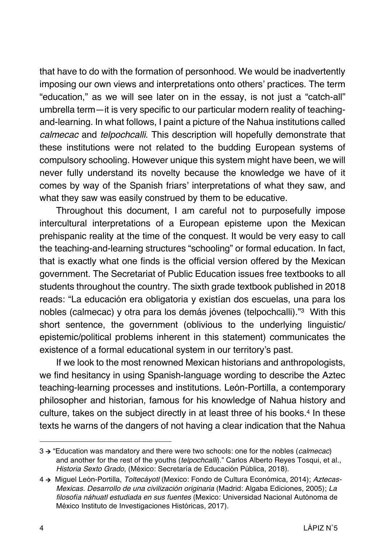that have to do with the formation of personhood. We would be inadvertently imposing our own views and interpretations onto others' practices. The term "education," as we will see later on in the essay, is not just a "catch-all" umbrella term—it is very specific to our particular modern reality of teachingand-learning. In what follows, I paint a picture of the Nahua institutions called *calmecac* and *telpochcalli*. This description will hopefully demonstrate that these institutions were not related to the budding European systems of compulsory schooling. However unique this system might have been, we will never fully understand its novelty because the knowledge we have of it comes by way of the Spanish friars' interpretations of what they saw, and what they saw was easily construed by them to be educative.

Throughout this document, I am careful not to purposefully impose intercultural interpretations of a European episteme upon the Mexican prehispanic reality at the time of the conquest. It would be very easy to call the teaching-and-learning structures "schooling" or formal education. In fact, that is exactly what one finds is the official version offered by the Mexican government. The Secretariat of Public Education issues free textbooks to all students throughout the country. The sixth grade textbook published in 2018 reads: "La educación era obligatoria y existían dos escuelas, una para los nobles (calmecac) y otra para los demás jóvenes (telpochcalli)."3 With this short sentence, the government (oblivious to the underlying linguistic/ epistemic/political problems inherent in this statement) communicates the existence of a formal educational system in our territory's past.

If we look to the most renowned Mexican historians and anthropologists, we find hesitancy in using Spanish-language wording to describe the Aztec teaching-learning processes and institutions. León-Portilla, a contemporary philosopher and historian, famous for his knowledge of Nahua history and culture, takes on the subject directly in at least three of his books.<sup>4</sup> In these texts he warns of the dangers of not having a clear indication that the Nahua

<sup>3</sup> à "Education was mandatory and there were two schools: one for the nobles (*calmecac*) and another for the rest of the youths (*telpochcalli*)*.*" Carlos Alberto Reyes Tosqui, et al., *Historia Sexto Grado*, (México: Secretaría de Educación Pública, 2018).

<sup>4</sup> à Miguel León-Portilla, *Toltecáyotl* (Mexico: Fondo de Cultura Económica, 2014); *Aztecas-Mexicas. Desarrollo de una civilización originaria* (Madrid: Algaba Ediciones, 2005); *La filosofía náhuatl estudiada en sus fuentes* (Mexico: Universidad Nacional Autónoma de México Instituto de Investigaciones Históricas, 2017).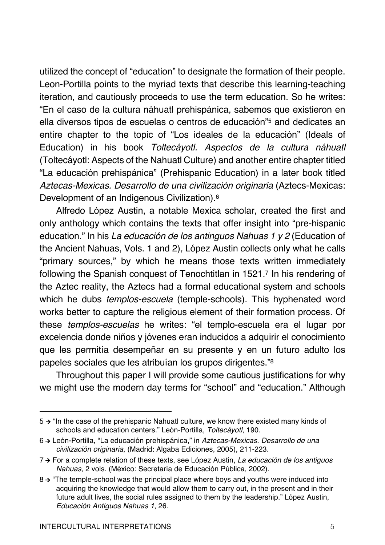utilized the concept of "education" to designate the formation of their people. Leon-Portilla points to the myriad texts that describe this learning-teaching iteration, and cautiously proceeds to use the term education. So he writes: "En el caso de la cultura náhuatl prehispánica, sabemos que existieron en ella diversos tipos de escuelas o centros de educación"5 and dedicates an entire chapter to the topic of "Los ideales de la educación" (Ideals of Education) in his book *Toltecáyotl. Aspectos de la cultura náhuatl* (Toltecáyotl: Aspects of the Nahuatl Culture) and another entire chapter titled "La educación prehispánica" (Prehispanic Education) in a later book titled Aztecas-Mexicas. Desarrollo de una civilización originaria (Aztecs-Mexicas: Development of an Indigenous Civilization).6

Alfredo López Austin, a notable Mexica scholar, created the first and only anthology which contains the texts that offer insight into "pre-hispanic education." In his *La educación de los antinguos Nahuas 1 y 2* (Education of the Ancient Nahuas, Vols. 1 and 2)*,* López Austin collects only what he calls "primary sources," by which he means those texts written immediately following the Spanish conquest of Tenochtitlan in 1521.7 In his rendering of the Aztec reality, the Aztecs had a formal educational system and schools which he dubs *templos-escuela* (temple-schools). This hyphenated word works better to capture the religious element of their formation process. Of these *templos-escuelas* he writes: "el templo-escuela era el lugar por excelencia donde niños y jóvenes eran inducidos a adquirir el conocimiento que les permitía desempeñar en su presente y en un futuro adulto los papeles sociales que les atribuían los grupos dirigentes."8

Throughout this paper I will provide some cautious justifications for why we might use the modern day terms for "school" and "education." Although

 $5 \rightarrow$  "In the case of the prehispanic Nahuatl culture, we know there existed many kinds of schools and education centers." León-Portilla, *Toltecáyotl*, 190.

<sup>6</sup> à León-Portilla, "La educación prehispánica," in *Aztecas-Mexicas. Desarrollo de una civilización originaria*, (Madrid: Algaba Ediciones, 2005), 211-223.

<sup>7</sup> à For a complete relation of these texts, see López Austin, *La educación de los antiguos Nahuas*, 2 vols. (México: Secretaría de Educación Pùblica, 2002).

 $8 \rightarrow$  "The temple-school was the principal place where boys and youths were induced into acquiring the knowledge that would allow them to carry out, in the present and in their future adult lives, the social rules assigned to them by the leadership." López Austin, *Educación Antiguos Nahuas 1*, 26.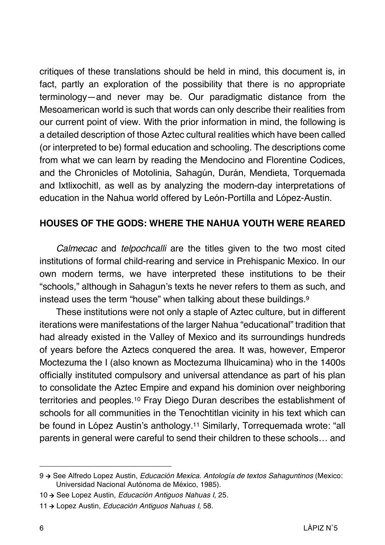critiques of these translations should be held in mind, this document is, in fact, partly an exploration of the possibility that there is no appropriate terminology—and never may be. Our paradigmatic distance from the Mesoamerican world is such that words can only describe their realities from our current point of view. With the prior information in mind, the following is a detailed description of those Aztec cultural realities which have been called (or interpreted to be) formal education and schooling. The descriptions come from what we can learn by reading the Mendocino and Florentine Codices, and the Chronicles of Motolinia, Sahagún, Durán, Mendieta, Torquemada and Ixtlixochitl, as well as by analyzing the modern-day interpretations of education in the Nahua world offered by León-Portilla and López-Austin.

### **HOUSES OF THE GODS: WHERE THE NAHUA YOUTH WERE REARED**

*Calmecac* and *telpochcalli* are the titles given to the two most cited institutions of formal child-rearing and service in Prehispanic Mexico. In our own modern terms, we have interpreted these institutions to be their "schools," although in Sahagun's texts he never refers to them as such, and instead uses the term "house" when talking about these buildings.9

These institutions were not only a staple of Aztec culture, but in different iterations were manifestations of the larger Nahua "educational" tradition that had already existed in the Valley of Mexico and its surroundings hundreds of years before the Aztecs conquered the area. It was, however, Emperor Moctezuma the I (also known as Moctezuma Ilhuicamina) who in the 1400s officially instituted compulsory and universal attendance as part of his plan to consolidate the Aztec Empire and expand his dominion over neighboring territories and peoples.10 Fray Diego Duran describes the establishment of schools for all communities in the Tenochtitlan vicinity in his text which can be found in López Austin's anthology.11 Similarly, Torrequemada wrote: "all parents in general were careful to send their children to these schools… and

<sup>9</sup> à See Alfredo Lopez Austin, *Educación Mexica. Antología de textos Sahaguntinos* (Mexico: Universidad Nacional Autónoma de México, 1985).

<sup>10</sup> à See Lopez Austin, *Educación Antiguos Nahuas I*, 25.

<sup>11</sup>  $\rightarrow$  Lopez Austin, *Educación Antiguos Nahuas I*, 58.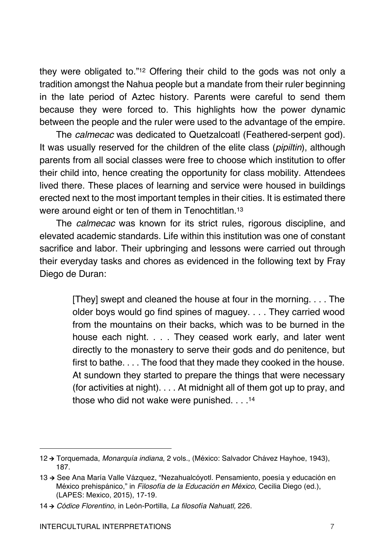they were obligated to."12 Offering their child to the gods was not only a tradition amongst the Nahua people but a mandate from their ruler beginning in the late period of Aztec history. Parents were careful to send them because they were forced to. This highlights how the power dynamic between the people and the ruler were used to the advantage of the empire.

The *calmecac* was dedicated to Quetzalcoatl (Feathered-serpent god). It was usually reserved for the children of the elite class (*pipiltin*), although parents from all social classes were free to choose which institution to offer their child into, hence creating the opportunity for class mobility. Attendees lived there. These places of learning and service were housed in buildings erected next to the most important temples in their cities. It is estimated there were around eight or ten of them in Tenochtitlan.<sup>13</sup>

The *calmecac* was known for its strict rules, rigorous discipline, and elevated academic standards. Life within this institution was one of constant sacrifice and labor. Their upbringing and lessons were carried out through their everyday tasks and chores as evidenced in the following text by Fray Diego de Duran:

> [They] swept and cleaned the house at four in the morning. . . . The older boys would go find spines of maguey. . . . They carried wood from the mountains on their backs, which was to be burned in the house each night. . . . They ceased work early, and later went directly to the monastery to serve their gods and do penitence, but first to bathe. . . . The food that they made they cooked in the house. At sundown they started to prepare the things that were necessary (for activities at night). . . . At midnight all of them got up to pray, and those who did not wake were punished. . . .14

<sup>12</sup> à Torquemada, *Monarquía indiana*, 2 vols., (México: Salvador Chávez Hayhoe, 1943), 187.

<sup>13 →</sup> See Ana María Valle Vázquez, "Nezahualcóyotl. Pensamiento, poesía y educación en México prehispánico," in *Filosofía de la Educación en México*, Cecilia Diego (ed.), (LAPES: Mexico, 2015), 17-19.

<sup>14</sup> à *Códice Florentino*, in León-Portilla, *La filosofía Nahuatl,* 226.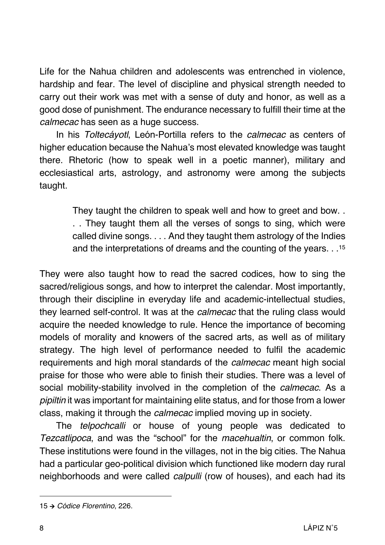Life for the Nahua children and adolescents was entrenched in violence, hardship and fear. The level of discipline and physical strength needed to carry out their work was met with a sense of duty and honor, as well as a good dose of punishment. The endurance necessary to fulfill their time at the *calmecac* has seen as a huge success.

In his *Toltecáyotl*, León-Portilla refers to the *calmecac* as centers of higher education because the Nahua's most elevated knowledge was taught there. Rhetoric (how to speak well in a poetic manner), military and ecclesiastical arts, astrology, and astronomy were among the subjects taught.

> They taught the children to speak well and how to greet and bow. . . . They taught them all the verses of songs to sing, which were called divine songs. . . . And they taught them astrology of the Indies and the interpretations of dreams and the counting of the years. . .15

They were also taught how to read the sacred codices, how to sing the sacred/religious songs, and how to interpret the calendar. Most importantly, through their discipline in everyday life and academic-intellectual studies, they learned self-control. It was at the *calmecac* that the ruling class would acquire the needed knowledge to rule. Hence the importance of becoming models of morality and knowers of the sacred arts, as well as of military strategy. The high level of performance needed to fulfil the academic requirements and high moral standards of the *calmecac* meant high social praise for those who were able to finish their studies. There was a level of social mobility-stability involved in the completion of the *calmecac*. As a *pipiltin* it was important for maintaining elite status, and for those from a lower class, making it through the *calmecac* implied moving up in society.

The *telpochcalli* or house of young people was dedicated to *Tezcatlipoca*, and was the "school" for the *macehualtin*, or common folk. These institutions were found in the villages, not in the big cities. The Nahua had a particular geo-political division which functioned like modern day rural neighborhoods and were called *calpulli* (row of houses), and each had its

<sup>15</sup> à *Códice Florentino*, 226.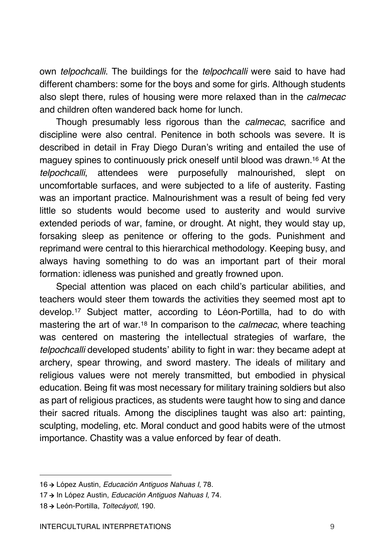own *telpochcalli*. The buildings for the *telpochcalli* were said to have had different chambers: some for the boys and some for girls. Although students also slept there, rules of housing were more relaxed than in the *calmecac*  and children often wandered back home for lunch.

Though presumably less rigorous than the *calmecac*, sacrifice and discipline were also central. Penitence in both schools was severe. It is described in detail in Fray Diego Duran's writing and entailed the use of maguey spines to continuously prick oneself until blood was drawn.16 At the *telpochcalli*, attendees were purposefully malnourished, slept on uncomfortable surfaces, and were subjected to a life of austerity. Fasting was an important practice. Malnourishment was a result of being fed very little so students would become used to austerity and would survive extended periods of war, famine, or drought. At night, they would stay up, forsaking sleep as penitence or offering to the gods. Punishment and reprimand were central to this hierarchical methodology. Keeping busy, and always having something to do was an important part of their moral formation: idleness was punished and greatly frowned upon.

Special attention was placed on each child's particular abilities, and teachers would steer them towards the activities they seemed most apt to develop.17 Subject matter, according to Léon-Portilla, had to do with mastering the art of war.18 In comparison to the *calmecac*, where teaching was centered on mastering the intellectual strategies of warfare, the *telpochcalli* developed students' ability to fight in war: they became adept at archery, spear throwing, and sword mastery. The ideals of military and religious values were not merely transmitted, but embodied in physical education. Being fit was most necessary for military training soldiers but also as part of religious practices, as students were taught how to sing and dance their sacred rituals. Among the disciplines taught was also art: painting, sculpting, modeling, etc. Moral conduct and good habits were of the utmost importance. Chastity was a value enforced by fear of death.

<sup>16</sup> à López Austin, *Educación Antiguos Nahuas I*, 78.

<sup>17 →</sup> In López Austin, *Educación Antiguos Nahuas I, 74.* 

<sup>18</sup> à León-Portilla, *Toltecáyotl*, 190.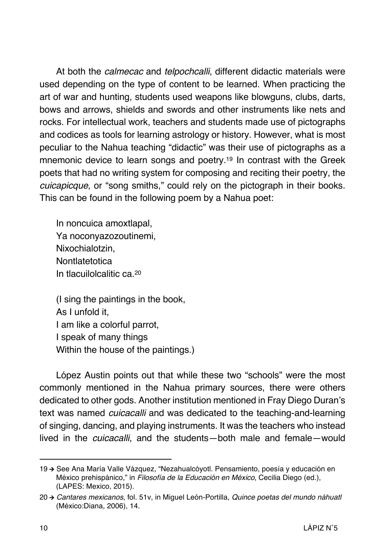At both the *calmecac* and *telpochcalli*, different didactic materials were used depending on the type of content to be learned. When practicing the art of war and hunting, students used weapons like blowguns, clubs, darts, bows and arrows, shields and swords and other instruments like nets and rocks. For intellectual work, teachers and students made use of pictographs and codices as tools for learning astrology or history. However, what is most peculiar to the Nahua teaching "didactic" was their use of pictographs as a mnemonic device to learn songs and poetry.19 In contrast with the Greek poets that had no writing system for composing and reciting their poetry, the *cuicapicque*, or "song smiths," could rely on the pictograph in their books. This can be found in the following poem by a Nahua poet:

In noncuica amoxtlapal, Ya noconyazozoutinemi, Nixochialotzin, **Nontlatetotica** In tlacuilolcalitic ca.20

(I sing the paintings in the book, As I unfold it, I am like a colorful parrot, I speak of many things Within the house of the paintings.)

López Austin points out that while these two "schools" were the most commonly mentioned in the Nahua primary sources, there were others dedicated to other gods. Another institution mentioned in Fray Diego Duran's text was named *cuicacalli* and was dedicated to the teaching-and-learning of singing, dancing, and playing instruments. It was the teachers who instead lived in the *cuicacalli*, and the students—both male and female—would

<sup>19 →</sup> See Ana María Valle Vázquez, "Nezahualcóyotl. Pensamiento, poesía y educación en México prehispánico," in *Filosofía de la Educación en México*, Cecilia Diego (ed.), (LAPES: Mexico, 2015).

<sup>20</sup> à *Cantares mexicanos*, fol. 51v, in Miguel León-Portilla, *Quince poetas del mundo náhuatl* (México:Diana, 2006), 14.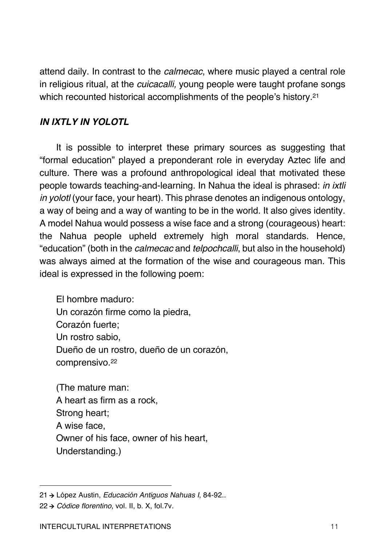attend daily. In contrast to the *calmecac*, where music played a central role in religious ritual, at the *cuicacalli,* young people were taught profane songs which recounted historical accomplishments of the people's history.<sup>21</sup>

### *IN IXTLY IN YOLOTL*

It is possible to interpret these primary sources as suggesting that "formal education" played a preponderant role in everyday Aztec life and culture. There was a profound anthropological ideal that motivated these people towards teaching-and-learning. In Nahua the ideal is phrased: *in ixtli in yolotl* (your face, your heart). This phrase denotes an indigenous ontology, a way of being and a way of wanting to be in the world. It also gives identity. A model Nahua would possess a wise face and a strong (courageous) heart: the Nahua people upheld extremely high moral standards. Hence, "education" (both in the *calmecac* and *telpochcalli*, but also in the household) was always aimed at the formation of the wise and courageous man. This ideal is expressed in the following poem:

El hombre maduro: Un corazón firme como la piedra, Corazón fuerte; Un rostro sabio, Dueño de un rostro, dueño de un corazón, comprensivo.22

(The mature man: A heart as firm as a rock, Strong heart; A wise face, Owner of his face, owner of his heart, Understanding.)

<sup>21</sup> à López Austin, *Educación Antiguos Nahuas I*, 84-92..

<sup>22</sup> à *Códice florentino*, vol. II, b. X, fol.7v.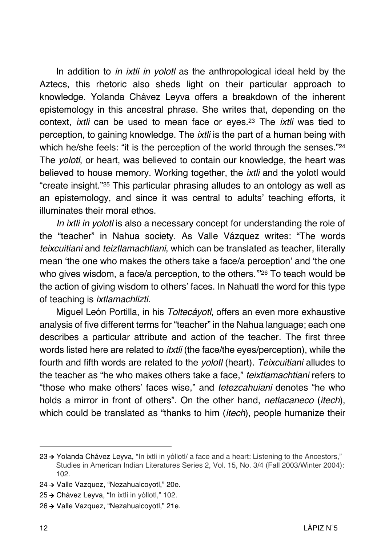In addition to *in ixtli in yolotl* as the anthropological ideal held by the Aztecs, this rhetoric also sheds light on their particular approach to knowledge. Yolanda Chávez Leyva offers a breakdown of the inherent epistemology in this ancestral phrase. She writes that, depending on the context, *ixtli* can be used to mean face or eyes.23 The *ixtli* was tied to perception, to gaining knowledge. The *ixtli* is the part of a human being with which he/she feels: "it is the perception of the world through the senses."24 The *yolotl*, or heart, was believed to contain our knowledge, the heart was believed to house memory. Working together, the *ixtli* and the yolotl would "create insight."25 This particular phrasing alludes to an ontology as well as an epistemology, and since it was central to adults' teaching efforts, it illuminates their moral ethos.

*In ixtli in yolotl* is also a necessary concept for understanding the role of the "teacher" in Nahua society. As Valle Vázquez writes: "The words *teixcuitiani* and *teiztlamachtiani*, which can be translated as teacher, literally mean 'the one who makes the others take a face/a perception' and 'the one who gives wisdom, a face/a perception, to the others.'"26 To teach would be the action of giving wisdom to others' faces. In Nahuatl the word for this type of teaching is *ixtlamachlizti*.

Miguel León Portilla, in his *Toltecáyotl*, offers an even more exhaustive analysis of five different terms for "teacher" in the Nahua language; each one describes a particular attribute and action of the teacher. The first three words listed here are related to *itxtli* (the face/the eyes/perception), while the fourth and fifth words are related to the *yolotl* (heart). *Teixcuitiani* alludes to the teacher as "he who makes others take a face," *teixtlamachtiani* refers to "those who make others' faces wise," and *tetezcahuiani* denotes "he who holds a mirror in front of others". On the other hand, *netlacaneco* (*itech*), which could be translated as "thanks to him (*itech*), people humanize their

- 24 → Valle Vazquez, "Nezahualcoyotl," 20e.
- 25 → Chávez Leyva, "In ixtli in yóllotl," 102.

<sup>23 →</sup> Yolanda Chávez Leyva, "In ixtli in yóllotl/ a face and a heart: Listening to the Ancestors," Studies in American Indian Literatures Series 2, Vol. 15, No. 3/4 (Fall 2003/Winter 2004): 102.

<sup>26 →</sup> Valle Vazquez, "Nezahualcoyotl," 21e.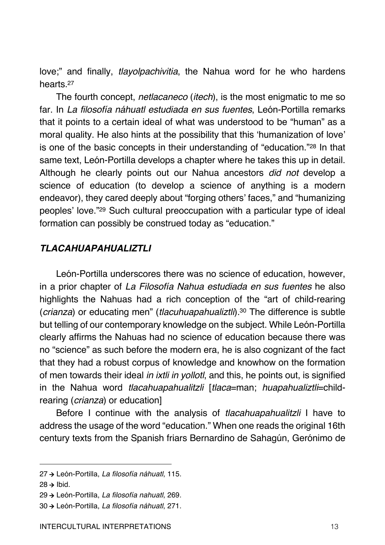love;" and finally, *tlayolpachivitia*, the Nahua word for he who hardens hearts<sup>27</sup>

The fourth concept, *netlacaneco* (*itech*), is the most enigmatic to me so far. In *La filosofía náhuatl estudiada en sus fuentes*, León-Portilla remarks that it points to a certain ideal of what was understood to be "human" as a moral quality. He also hints at the possibility that this 'humanization of love' is one of the basic concepts in their understanding of "education."28 In that same text, León-Portilla develops a chapter where he takes this up in detail. Although he clearly points out our Nahua ancestors *did not* develop a science of education (to develop a science of anything is a modern endeavor), they cared deeply about "forging others' faces," and "humanizing peoples' love."29 Such cultural preoccupation with a particular type of ideal formation can possibly be construed today as "education."

#### *TLACAHUAPAHUALIZTLI*

León-Portilla underscores there was no science of education, however, in a prior chapter of *La Filosofía Nahua estudiada en sus fuentes* he also highlights the Nahuas had a rich conception of the "art of child-rearing (*crianza*) or educating men" (*tlacuhuapahualiztli*).30 The difference is subtle but telling of our contemporary knowledge on the subject. While León-Portilla clearly affirms the Nahuas had no science of education because there was no "science" as such before the modern era, he is also cognizant of the fact that they had a robust corpus of knowledge and knowhow on the formation of men towards their ideal *in ixtli in yollotl*, and this, he points out, is signified in the Nahua word *tlacahuapahualitzli* [*tlaca*=man; *huapahualiztli*=childrearing (*crianza*) or education]

Before I continue with the analysis of *tlacahuapahualitzli* I have to address the usage of the word "education." When one reads the original 16th century texts from the Spanish friars Bernardino de Sahagún, Gerónimo de

<sup>27</sup> à León-Portilla, *La filosofía náhuatl*, 115.

 $28 \rightarrow$  Ibid.

<sup>29</sup> à León-Portilla, *La filosofía nahuatl*, 269.

<sup>30</sup> à León-Portilla, *La filosofía náhuatl*, 271.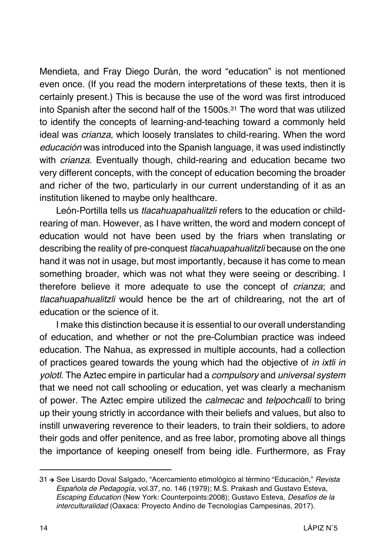Mendieta, and Fray Diego Durán, the word "education" is not mentioned even once. (If you read the modern interpretations of these texts, then it is certainly present.) This is because the use of the word was first introduced into Spanish after the second half of the 1500s.31 The word that was utilized to identify the concepts of learning-and-teaching toward a commonly held ideal was *crianza,* which loosely translates to child-rearing. When the word *educación* was introduced into the Spanish language, it was used indistinctly with *crianza.* Eventually though, child-rearing and education became two very different concepts, with the concept of education becoming the broader and richer of the two, particularly in our current understanding of it as an institution likened to maybe only healthcare.

León-Portilla tells us *tlacahuapahualitzli* refers to the education or childrearing of man. However, as I have written, the word and modern concept of education would not have been used by the friars when translating or describing the reality of pre-conquest *tlacahuapahualitzli* because on the one hand it was not in usage, but most importantly, because it has come to mean something broader, which was not what they were seeing or describing. I therefore believe it more adequate to use the concept of *crianza*; and *tlacahuapahualitzli* would hence be the art of childrearing, not the art of education or the science of it.

I make this distinction because it is essential to our overall understanding of education, and whether or not the pre-Columbian practice was indeed education. The Nahua, as expressed in multiple accounts, had a collection of practices geared towards the young which had the objective of *in ixtli in yolotl*. The Aztec empire in particular had a *compulsory* and *universal system* that we need not call schooling or education, yet was clearly a mechanism of power. The Aztec empire utilized the *calmecac* and *telpochcalli* to bring up their young strictly in accordance with their beliefs and values, but also to instill unwavering reverence to their leaders, to train their soldiers, to adore their gods and offer penitence, and as free labor, promoting above all things the importance of keeping oneself from being idle. Furthermore, as Fray

<sup>31</sup> à See Lisardo Doval Salgado, "Acercamiento etimológico al término "Educación," *Revista Española de Pedagogía*, vol.37, no. 146 (1979); M.S. Prakash and Gustavo Esteva, *Escaping Education* (New York: Counterpoints:2008); Gustavo Esteva, *Desafíos de la interculturalidad* (Oaxaca: Proyecto Andino de Tecnologías Campesinas, 2017).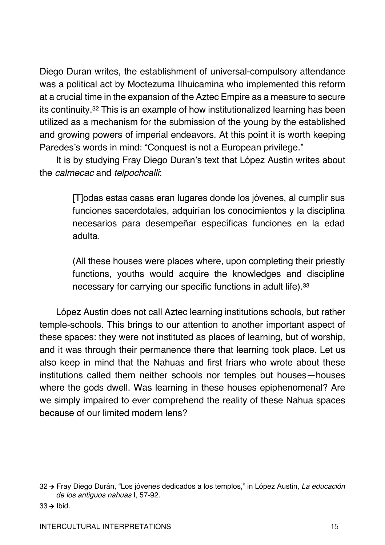Diego Duran writes, the establishment of universal-compulsory attendance was a political act by Moctezuma Ilhuicamina who implemented this reform at a crucial time in the expansion of the Aztec Empire as a measure to secure its continuity.32 This is an example of how institutionalized learning has been utilized as a mechanism for the submission of the young by the established and growing powers of imperial endeavors. At this point it is worth keeping Paredes's words in mind: "Conquest is not a European privilege."

It is by studying Fray Diego Duran's text that López Austin writes about the *calmecac* and *telpochcalli*:

> [T]odas estas casas eran lugares donde los jóvenes, al cumplir sus funciones sacerdotales, adquirían los conocimientos y la disciplina necesarios para desempeñar específicas funciones en la edad adulta.

> (All these houses were places where, upon completing their priestly functions, youths would acquire the knowledges and discipline necessary for carrying our specific functions in adult life).33

López Austin does not call Aztec learning institutions schools, but rather temple-schools. This brings to our attention to another important aspect of these spaces: they were not instituted as places of learning, but of worship, and it was through their permanence there that learning took place. Let us also keep in mind that the Nahuas and first friars who wrote about these institutions called them neither schools nor temples but houses—houses where the gods dwell. Was learning in these houses epiphenomenal? Are we simply impaired to ever comprehend the reality of these Nahua spaces because of our limited modern lens?

 $33 \rightarrow$  Ibid.

<sup>32</sup> à Fray Diego Durán, "Los jóvenes dedicados a los templos," in López Austin, *La educación de los antiguos nahuas* I, 57-92.